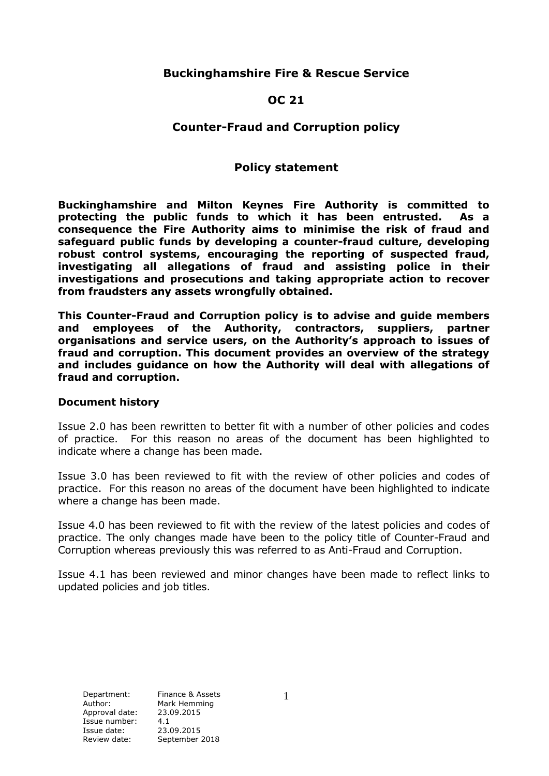# **Buckinghamshire Fire & Rescue Service**

#### **OC 21**

# **Counter-Fraud and Corruption policy**

# **Policy statement**

**Buckinghamshire and Milton Keynes Fire Authority is committed to protecting the public funds to which it has been entrusted. As a consequence the Fire Authority aims to minimise the risk of fraud and safeguard public funds by developing a counter-fraud culture, developing robust control systems, encouraging the reporting of suspected fraud, investigating all allegations of fraud and assisting police in their investigations and prosecutions and taking appropriate action to recover from fraudsters any assets wrongfully obtained.**

**This Counter-Fraud and Corruption policy is to advise and guide members and employees of the Authority, contractors, suppliers, partner organisations and service users, on the Authority's approach to issues of fraud and corruption. This document provides an overview of the strategy and includes guidance on how the Authority will deal with allegations of fraud and corruption.**

#### **Document history**

Issue 2.0 has been rewritten to better fit with a number of other policies and codes of practice. For this reason no areas of the document has been highlighted to indicate where a change has been made.

Issue 3.0 has been reviewed to fit with the review of other policies and codes of practice. For this reason no areas of the document have been highlighted to indicate where a change has been made.

Issue 4.0 has been reviewed to fit with the review of the latest policies and codes of practice. The only changes made have been to the policy title of Counter-Fraud and Corruption whereas previously this was referred to as Anti-Fraud and Corruption.

Issue 4.1 has been reviewed and minor changes have been made to reflect links to updated policies and job titles.

Department: Finance & Assets Author: Mark Hemming Approval date: 23.09.2015 Issue number: 4.1 Issue date: 23.09.2015<br>Review date: September: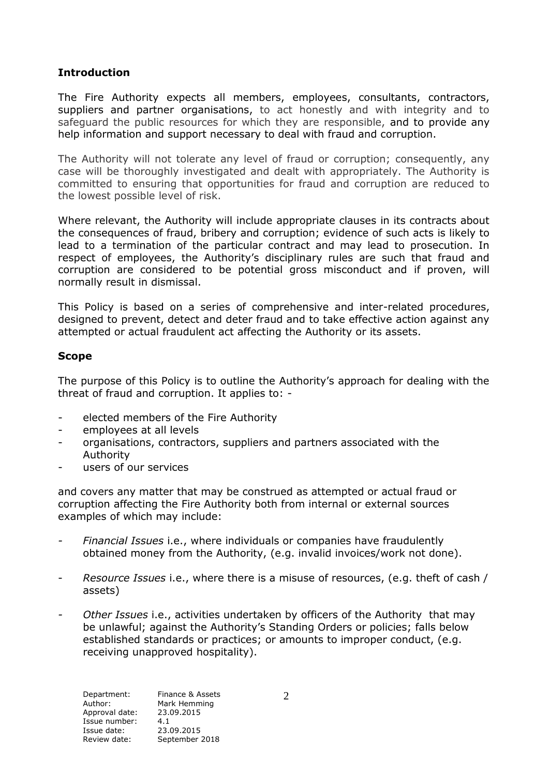# **Introduction**

The Fire Authority expects all members, employees, consultants, contractors, suppliers and partner organisations, to act honestly and with integrity and to safeguard the public resources for which they are responsible, and to provide any help information and support necessary to deal with fraud and corruption.

The Authority will not tolerate any level of fraud or corruption; consequently, any case will be thoroughly investigated and dealt with appropriately. The Authority is committed to ensuring that opportunities for fraud and corruption are reduced to the lowest possible level of risk.

Where relevant, the Authority will include appropriate clauses in its contracts about the consequences of fraud, bribery and corruption; evidence of such acts is likely to lead to a termination of the particular contract and may lead to prosecution. In respect of employees, the Authority's disciplinary rules are such that fraud and corruption are considered to be potential gross misconduct and if proven, will normally result in dismissal.

This Policy is based on a series of comprehensive and inter-related procedures, designed to prevent, detect and deter fraud and to take effective action against any attempted or actual fraudulent act affecting the Authority or its assets.

## **Scope**

The purpose of this Policy is to outline the Authority's approach for dealing with the threat of fraud and corruption. It applies to: -

- elected members of the Fire Authority
- employees at all levels
- organisations, contractors, suppliers and partners associated with the Authority
- users of our services

and covers any matter that may be construed as attempted or actual fraud or corruption affecting the Fire Authority both from internal or external sources examples of which may include:

- *- Financial Issues* i.e., where individuals or companies have fraudulently obtained money from the Authority, (e.g. invalid invoices/work not done).
- *Resource Issues* i.e., where there is a misuse of resources, (e.g. theft of cash / assets)
- *- Other Issues* i.e., activities undertaken by officers of the Authority that may be unlawful; against the Authority's Standing Orders or policies; falls below established standards or practices; or amounts to improper conduct, (e.g. receiving unapproved hospitality).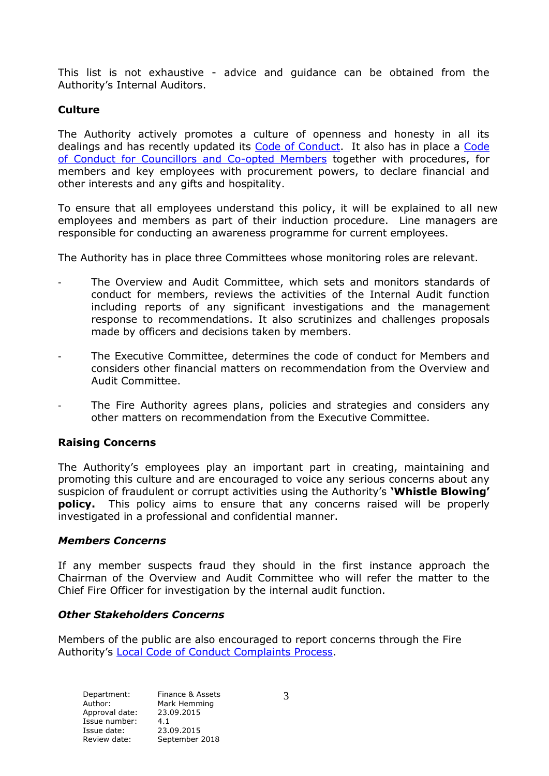This list is not exhaustive - advice and guidance can be obtained from the Authority's Internal Auditors.

# **Culture**

The Authority actively promotes a culture of openness and honesty in all its dealings and has recently updated its [Code of Conduct.](http://bucksfire.gov.uk/files/4814/3740/2171/ITEM_7a_Overview__Audit_Committee_report_on_the_Code_of_Conduct_15_July_2015_with_appendices.pdf) It also has in place a [Code](http://bucksfire.gov.uk/files/3314/0732/6551/10CODEOFCONDUCT.pdf)  [of Conduct for Councillors and Co-opted Members](http://bucksfire.gov.uk/files/3314/0732/6551/10CODEOFCONDUCT.pdf) together with procedures, for [members and key employees with procurement powers, to declare financial and](http://bucksfire.gov.uk/files/3314/0732/6551/10CODEOFCONDUCT.pdf)  [other interests and any gifts and hospitality.](http://bucksfire.gov.uk/files/3314/0732/6551/10CODEOFCONDUCT.pdf) 

[To ensure that all employees understand this policy, it will be explained to all new](http://bucksfire.gov.uk/files/3314/0732/6551/10CODEOFCONDUCT.pdf)  [employees and members as part of their induction procedure. Line managers are](http://bucksfire.gov.uk/files/3314/0732/6551/10CODEOFCONDUCT.pdf)  responsible for conducting an [awareness programme for current employees.](http://bucksfire.gov.uk/files/3314/0732/6551/10CODEOFCONDUCT.pdf)

The Authority has in place three Committees whose monitoring roles are relevant.

- The Overview and Audit Committee, which sets and monitors standards of conduct for members, reviews the activities of the Internal Audit function including reports of any significant investigations and the management response to recommendations. It also scrutinizes and challenges proposals made by officers and decisions taken by members.
- The Executive Committee, determines the code of conduct for Members and considers other financial matters on recommendation from the Overview and Audit Committee.
- The Fire Authority agrees plans, policies and strategies and considers any other matters on recommendation from the Executive Committee.

## **Raising Concerns**

The Authority's employees play an important part in creating, maintaining and promoting this culture and are encouraged to voice any serious concerns about any suspicion of fraudulent or corrupt activities using the Authority's **'Whistle Blowing' policy.** This policy aims to ensure that any concerns raised will be properly investigated in a professional and confidential manner.

## *Members Concerns*

If any member suspects fraud they should in the first instance approach the Chairman of the Overview and Audit Committee who will refer the matter to the Chief Fire Officer for investigation by the internal audit function.

## *Other Stakeholders Concerns*

Members of the public are also encouraged to report concerns through the Fire Authority's [Local Code of Conduct Complaints Process.](http://bucksfire.gov.uk/fire-authority/governance/local-code-conduct-complaints-process/)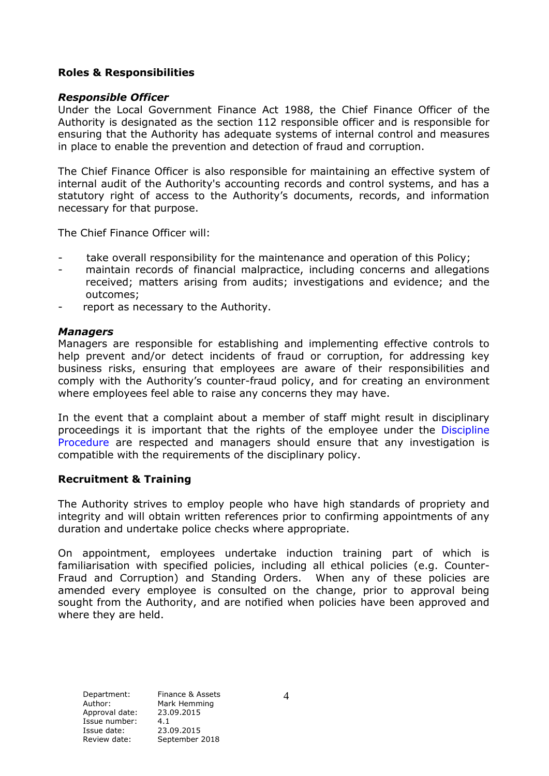#### **Roles & Responsibilities**

#### *Responsible Officer*

Under the Local Government Finance Act 1988, the Chief Finance Officer of the Authority is designated as the section 112 responsible officer and is responsible for ensuring that the Authority has adequate systems of internal control and measures in place to enable the prevention and detection of fraud and corruption.

The Chief Finance Officer is also responsible for maintaining an effective system of internal audit of the Authority's accounting records and control systems, and has a statutory right of access to the Authority's documents, records, and information necessary for that purpose.

The Chief Finance Officer will:

- take overall responsibility for the maintenance and operation of this Policy;
- maintain records of financial malpractice, including concerns and allegations received; matters arising from audits; investigations and evidence; and the outcomes;
- report as necessary to the Authority.

#### *Managers*

Managers are responsible for establishing and implementing effective controls to help prevent and/or detect incidents of fraud or corruption, for addressing key business risks, ensuring that employees are aware of their responsibilities and comply with the Authority's counter-fraud policy, and for creating an environment where employees feel able to raise any concerns they may have.

In the event that a complaint about a member of staff might result in disciplinary proceedings it is important that the rights of the employee under the [Discipline](https://bucksfire.interactgo.com/Interact/Pages/Content/Document.aspx?id=13421)  [Procedure](https://bucksfire.interactgo.com/Interact/Pages/Content/Document.aspx?id=13421) are respected and managers should ensure that any investigation is compatible with the requirements of the disciplinary policy.

#### **Recruitment & Training**

The Authority strives to employ people who have high standards of propriety and integrity and will obtain written references prior to confirming appointments of any duration and undertake police checks where appropriate.

On appointment, employees undertake induction training part of which is familiarisation with specified policies, including all ethical policies (e.g. Counter-Fraud and Corruption) and Standing Orders. When any of these policies are amended every employee is consulted on the change, prior to approval being sought from the Authority, and are notified when policies have been approved and where they are held.

Department: Finance & Assets Author: Mark Hemming Approval date: 23.09.2015 Issue number: 4.1 Issue date: 23.09.2015<br>Review date: September 2

September 2018